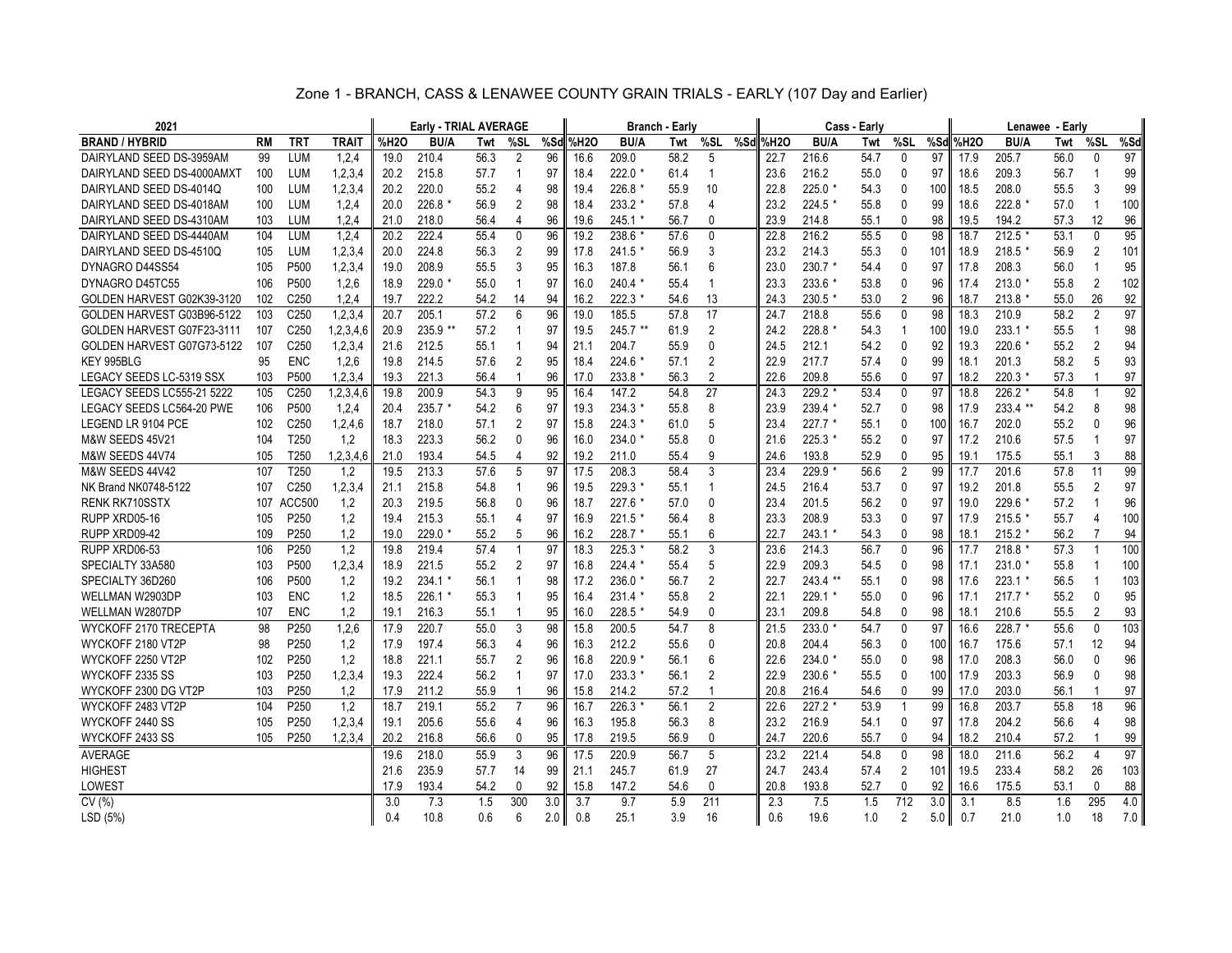|  | Zone 1 - BRANCH, CASS & LENAWEE COUNTY GRAIN TRIALS - EARLY (107 Day and Earlier) |  |  |  |  |
|--|-----------------------------------------------------------------------------------|--|--|--|--|
|--|-----------------------------------------------------------------------------------|--|--|--|--|

| 2021                       |           |                  |              | Early - TRIAL AVERAGE |          |      |                |     |          | <b>Branch - Early</b> |      |                | Cass - Early |          |             | Lenawee - Early |                |     |      |             |      |                |                 |
|----------------------------|-----------|------------------|--------------|-----------------------|----------|------|----------------|-----|----------|-----------------------|------|----------------|--------------|----------|-------------|-----------------|----------------|-----|------|-------------|------|----------------|-----------------|
| <b>BRAND / HYBRID</b>      | <b>RM</b> | <b>TRT</b>       | <b>TRAIT</b> | %H2O                  | BU/A     | Twt  | %SL            |     | %Sdl%H2O | <b>BU/A</b>           | Twt  | %SL            |              | %Sdl%H2O | <b>BU/A</b> | Twt             | %SL            | %Sd | %H2O | <b>BU/A</b> | Twt  | %SL            | %Sd             |
| DAIRYLAND SEED DS-3959AM   | 99        | <b>LUM</b>       | 1,2,4        | 19.0                  | 210.4    | 56.3 | $\overline{2}$ | 96  | 16.6     | 209.0                 | 58.2 | 5              |              | 22.7     | 216.6       | 54.7            | $\mathbf{0}$   | 97  | 17.9 | 205.7       | 56.0 | $\mathbf{0}$   | 97              |
| DAIRYLAND SEED DS-4000AMXT | 100       | <b>LUM</b>       | 1, 2, 3, 4   | 20.2                  | 215.8    | 57.7 | -1             | 97  | 18.4     | 222.0 *               | 61.4 | $\overline{1}$ |              | 23.6     | 216.2       | 55.0            | 0              | 97  | 18.6 | 209.3       | 56.7 | $\mathbf{1}$   | 99              |
| DAIRYLAND SEED DS-4014Q    | 100       | <b>LUM</b>       | 1, 2, 3, 4   | 20.2                  | 220.0    | 55.2 | 4              | 98  | 19.4     | 226.8 *               | 55.9 | 10             |              | 22.8     | $225.0*$    | 54.3            | 0              | 100 | 18.5 | 208.0       | 55.5 | 3              | 99              |
| DAIRYLAND SEED DS-4018AM   | 100       | <b>LUM</b>       | 1,2,4        | 20.0                  | 226.8    | 56.9 | $\overline{2}$ | 98  | 18.4     | 233.2 *               | 57.8 | 4              |              | 23.2     | 224.5       | 55.8            | $\mathbf{0}$   | 99  | 18.6 | $222.8*$    | 57.0 | $\mathbf{1}$   | 100             |
| DAIRYLAND SEED DS-4310AM   | 103       | LUM              | 1, 2, 4      | 21.0                  | 218.0    | 56.4 | 4              | 96  | 19.6     | 245.1 *               | 56.7 | 0              |              | 23.9     | 214.8       | 55.1            | 0              | 98  | 19.5 | 194.2       | 57.3 | 12             | 96              |
| DAIRYLAND SEED DS-4440AM   | 104       | <b>LUM</b>       | 1,2,4        | 20.2                  | 222.4    | 55.4 | 0              | 96  | 19.2     | 238.6                 | 57.6 | 0              |              | 22.8     | 216.2       | 55.5            | $\mathbf{0}$   | 98  | 18.7 | $212.5*$    | 53.1 | 0              | 95              |
| DAIRYLAND SEED DS-4510Q    | 105       | <b>LUM</b>       | 1, 2, 3, 4   | 20.0                  | 224.8    | 56.3 | $\overline{2}$ | 99  | 17.8     | 241.5                 | 56.9 | 3              |              | 23.2     | 214.3       | 55.3            | $\mathbf{0}$   | 101 | 18.9 | $218.5*$    | 56.9 | $\overline{2}$ | 101             |
| DYNAGRO D44SS54            | 105       | P500             | 1, 2, 3, 4   | 19.0                  | 208.9    | 55.5 | 3              | 95  | 16.3     | 187.8                 | 56.1 | 6              |              | 23.0     | 230.7 *     | 54.4            | 0              | 97  | 17.8 | 208.3       | 56.0 | $\mathbf{1}$   | 95              |
| DYNAGRO D45TC55            | 106       | P <sub>500</sub> | 1,2,6        | 18.9                  | $229.0*$ | 55.0 | $\overline{1}$ | 97  | 16.0     | $240.4$ *             | 55.4 | $\overline{1}$ |              | 23.3     | 233.6 *     | 53.8            | $\mathbf{0}$   | 96  | 17.4 | $213.0*$    | 55.8 | $\overline{2}$ | 102             |
| GOLDEN HARVEST G02K39-3120 | 102       | C <sub>250</sub> | 1,2,4        | 19.7                  | 222.2    | 54.2 | 14             | 94  | 16.2     | $222.3*$              | 54.6 | 13             |              | 24.3     | 230.5 *     | 53.0            | $\overline{2}$ | 96  | 18.7 | $213.8*$    | 55.0 | 26             | 92              |
| GOLDEN HARVEST G03B96-5122 | 103       | C <sub>250</sub> | 1.2.3.4      | 20.7                  | 205.1    | 57.2 | 6              | 96  | 19.0     | 185.5                 | 57.8 | 17             |              | 24.7     | 218.8       | 55.6            | $\mathbf{0}$   | 98  | 18.3 | 210.9       | 58.2 | $\overline{2}$ | 97              |
| GOLDEN HARVEST G07F23-3111 | 107       | C <sub>250</sub> | 1,2,3,4,6    | 20.9                  | 235.9 ** | 57.2 | 1              | 97  | 19.5     | 245.7 **              | 61.9 | $\overline{2}$ |              | 24.2     | 228.8       | 54.3            | 1              | 100 | 19.0 | $233.1*$    | 55.5 | $\mathbf{1}$   | 98              |
| GOLDEN HARVEST G07G73-5122 | 107       | C <sub>250</sub> | 1,2,3,4      | 21.6                  | 212.5    | 55.1 | 1              | 94  | 21.1     | 204.7                 | 55.9 | 0              |              | 24.5     | 212.1       | 54.2            | 0              | 92  | 19.3 | 220.6 *     | 55.2 | $\overline{2}$ | 94              |
| KEY 995BLG                 | 95        | <b>ENC</b>       | 1,2,6        | 19.8                  | 214.5    | 57.6 | $\overline{2}$ | 95  | 18.4     | 224.6                 | 57.1 | $\overline{2}$ |              | 22.9     | 217.7       | 57.4            | 0              | 99  | 18.1 | 201.3       | 58.2 | 5              | 93              |
| LEGACY SEEDS LC-5319 SSX   | 103       | P <sub>500</sub> | 1,2,3,4      | 19.3                  | 221.3    | 56.4 | -1             | 96  | 17.0     | 233.8                 | 56.3 | 2              |              | 22.6     | 209.8       | 55.6            | 0              | 97  | 18.2 | $220.3*$    | 57.3 | 1              | 97              |
| LEGACY SEEDS LC555-21 5222 | 105       | C <sub>250</sub> | 1,2,3,4,6    | 19.8                  | 200.9    | 54.3 | 9              | 95  | 16.4     | 147.2                 | 54.8 | 27             |              | 24.3     | 229.2 *     | 53.4            | $\mathbf{0}$   | 97  | 18.8 | $226.2*$    | 54.8 | $\overline{1}$ | 92              |
| LEGACY SEEDS LC564-20 PWE  | 106       | P <sub>500</sub> | 1,2,4        | 20.4                  | $235.7*$ | 54.2 | 6              | 97  | 19.3     | $234.3*$              | 55.8 | 8              |              | 23.9     | 239.4 *     | 52.7            | 0              | 98  | 17.9 | 233.4 **    | 54.2 | 8              | 98              |
| LEGEND LR 9104 PCE         | 102       | C <sub>250</sub> | 1,2,4,6      | 18.7                  | 218.0    | 57.1 | 2              | 97  | 15.8     | $224.3*$              | 61.0 | 5              |              | 23.4     | $227.7*$    | 55.1            | 0              | 100 | 16.7 | 202.0       | 55.2 | $\Omega$       | 96              |
| M&W SEEDS 45V21            | 104       | T250             | 1,2          | 18.3                  | 223.3    | 56.2 | 0              | 96  | 16.0     | 234.0 *               | 55.8 | 0              |              | 21.6     | $225.3*$    | 55.2            | 0              | 97  | 17.2 | 210.6       | 57.5 | $\overline{1}$ | 97              |
| M&W SEEDS 44V74            | 105       | T <sub>250</sub> | 1,2,3,4,6    | 21.0                  | 193.4    | 54.5 | 4              | 92  | 19.2     | 211.0                 | 55.4 | 9              |              | 24.6     | 193.8       | 52.9            | $\mathbf{0}$   | 95  | 19.1 | 175.5       | 55.1 | 3              | 88              |
| M&W SEEDS 44V42            | 107       | T250             | 1,2          | 19.5                  | 213.3    | 57.6 | 5              | 97  | 17.5     | 208.3                 | 58.4 | 3              |              | 23.4     | 229.9       | 56.6            | $\overline{2}$ | 99  | 17.7 | 201.6       | 57.8 | 11             | 99              |
| NK Brand NK0748-5122       | 107       | C <sub>250</sub> | 1, 2, 3, 4   | 21.1                  | 215.8    | 54.8 | 1              | 96  | 19.5     | 229.3 *               | 55.1 | $\overline{1}$ |              | 24.5     | 216.4       | 53.7            | 0              | 97  | 19.2 | 201.8       | 55.5 | 2              | 97              |
| <b>RENK RK710SSTX</b>      | 107       | <b>ACC500</b>    | 1,2          | 20.3                  | 219.5    | 56.8 | 0              | 96  | 18.7     | 227.6 *               | 57.0 | 0              |              | 23.4     | 201.5       | 56.2            | 0              | 97  | 19.0 | 229.6 *     | 57.2 | $\mathbf{1}$   | 96              |
| RUPP XRD05-16              | 105       | P <sub>250</sub> | 1,2          | 19.4                  | 215.3    | 55.1 | 4              | 97  | 16.9     | 221.5 *               | 56.4 | 8              |              | 23.3     | 208.9       | 53.3            | $\mathbf{0}$   | 97  | 17.9 | $215.5*$    | 55.7 | 4              | 100             |
| RUPP XRD09-42              | 109       | P250             | 1,2          | 19.0                  | 229.0    | 55.2 | 5              | 96  | 16.2     | 228.7 *               | 55.1 | 6              |              | 22.7     | $243.1*$    | 54.3            | $\mathbf{0}$   | 98  | 18.1 | $215.2*$    | 56.2 | $\overline{7}$ | 94              |
| RUPP XRD06-53              | 106       | P250             | 1.2          | 19.8                  | 219.4    | 57.4 |                | 97  | 18.3     | 225.3 *               | 58.2 | 3              |              | 23.6     | 214.3       | 56.7            | 0              | 96  | 17.7 | 218.8 *     | 57.3 | -1             | 100             |
| SPECIALTY 33A580           | 103       | P500             | 1, 2, 3, 4   | 18.9                  | 221.5    | 55.2 | $\overline{2}$ | 97  | 16.8     | 224.4                 | 55.4 | 5              |              | 22.9     | 209.3       | 54.5            | $\mathbf{0}$   | 98  | 17.1 | $231.0*$    | 55.8 | $\overline{1}$ | 100             |
| SPECIALTY 36D260           | 106       | P500             | 1,2          | 19.2                  | 234.1    | 56.1 | $\overline{1}$ | 98  | 17.2     | 236.0 *               | 56.7 | 2              |              | 22.7     | 243.4 **    | 55.1            | 0              | 98  | 17.6 | $223.1*$    | 56.5 | $\mathbf{1}$   | 103             |
| WELLMAN W2903DP            | 103       | <b>ENC</b>       | 1,2          | 18.5                  | $226.1*$ | 55.3 | -1             | 95  | 16.4     | $231.4*$              | 55.8 | $\overline{2}$ |              | 22.1     | $229.1*$    | 55.0            | 0              | 96  | 17.1 | $217.7*$    | 55.2 | 0              | 95              |
| WELLMAN W2807DP            | 107       | <b>ENC</b>       | 1.2          | 19.1                  | 216.3    | 55.1 |                | 95  | 16.0     | 228.5 *               | 54.9 | $\mathbf{0}$   |              | 23.1     | 209.8       | 54.8            | $\mathbf{0}$   | 98  | 18.1 | 210.6       | 55.5 | 2              | 93              |
| WYCKOFF 2170 TRECEPTA      | 98        | P250             | 1,2,6        | 17.9                  | 220.7    | 55.0 | 3              | 98  | 15.8     | 200.5                 | 54.7 | 8              |              | 21.5     | 233.0       | 54.7            | $\mathbf{0}$   | 97  | 16.6 | 228.7 *     | 55.6 | $\mathbf 0$    | 103             |
| WYCKOFF 2180 VT2P          | 98        | P <sub>250</sub> | 1,2          | 17.9                  | 197.4    | 56.3 | 4              | 96  | 16.3     | 212.2                 | 55.6 | $\Omega$       |              | 20.8     | 204.4       | 56.3            | 0              | 100 | 16.7 | 175.6       | 57.1 | 12             | 94              |
| WYCKOFF 2250 VT2P          | 102       | P <sub>250</sub> | 1.2          | 18.8                  | 221.1    | 55.7 | 2              | 96  | 16.8     | 220.9                 | 56.1 | 6              |              | 22.6     | 234.0       | 55.0            | $\mathbf{0}$   | 98  | 17.0 | 208.3       | 56.0 | $\mathbf{0}$   | 96              |
| WYCKOFF 2335 SS            | 103       | P250             | 1, 2, 3, 4   | 19.3                  | 222.4    | 56.2 | $\overline{1}$ | 97  | 17.0     | 233.3 *               | 56.1 | $\overline{2}$ |              | 22.9     | 230.6 *     | 55.5            | $\mathbf{0}$   | 100 | 17.9 | 203.3       | 56.9 | $\mathbf{0}$   | 98              |
| WYCKOFF 2300 DG VT2P       | 103       | P <sub>250</sub> | 1,2          | 17.9                  | 211.2    | 55.9 | -1             | 96  | 15.8     | 214.2                 | 57.2 | -1             |              | 20.8     | 216.4       | 54.6            | 0              | 99  | 17.0 | 203.0       | 56.1 | 1              | 97              |
| WYCKOFF 2483 VT2P          | 104       | P250             | 1.2          | 18.7                  | 219.1    | 55.2 |                | 96  | 16.7     | 226.3                 | 56.1 | 2              |              | 22.6     | 227.2       | 53.9            | 1              | 99  | 16.8 | 203.7       | 55.8 | 18             | 96              |
| WYCKOFF 2440 SS            | 105       | P250             | 1,2,3,4      | 19.1                  | 205.6    | 55.6 | 4              | 96  | 16.3     | 195.8                 | 56.3 | 8              |              | 23.2     | 216.9       | 54.1            | 0              | 97  | 17.8 | 204.2       | 56.6 | $\overline{4}$ | 98              |
| WYCKOFF 2433 SS            | 105       | P <sub>250</sub> | 1,2,3,4      | 20.2                  | 216.8    | 56.6 | $\mathbf{0}$   | 95  | 17.8     | 219.5                 | 56.9 | 0              |              | 24.7     | 220.6       | 55.7            | 0              | 94  | 18.2 | 210.4       | 57.2 | 1              | 99              |
| <b>AVERAGE</b>             |           |                  |              | 19.6                  | 218.0    | 55.9 | 3              | 96  | 17.5     | 220.9                 | 56.7 | 5              |              | 23.2     | 221.4       | 54.8            | 0              | 98  | 18.0 | 211.6       | 56.2 | $\overline{4}$ | $\overline{97}$ |
| <b>HIGHEST</b>             |           |                  |              | 21.6                  | 235.9    | 57.7 | 14             | 99  | 21.1     | 245.7                 | 61.9 | 27             |              | 24.7     | 243.4       | 57.4            | 2              | 101 | 19.5 | 233.4       | 58.2 | 26             | 103             |
| LOWEST                     |           |                  |              | 17.9                  | 193.4    | 54.2 | 0              | 92  | 15.8     | 147.2                 | 54.6 | 0              |              | 20.8     | 193.8       | 52.7            | 0              | 92  | 16.6 | 175.5       | 53.1 | 0              | 88              |
| CV(%)                      |           |                  |              | 3.0                   | 7.3      | 1.5  | 300            | 3.0 | 3.7      | 9.7                   | 5.9  | 211            |              | 2.3      | 7.5         | 1.5             | 712            | 3.0 | 3.1  | 8.5         | 1.6  | 295            | 4.0             |
| LSD (5%)                   |           |                  |              | 0.4                   | 10.8     | 0.6  | ĥ              | 2.0 | 0.8      | 25.1                  | 3.9  | 16             |              | 0.6      | 19.6        | 1.0             | $\overline{2}$ | 5.0 | 0.7  | 21.0        | 1.0  | 18             | 7.0             |